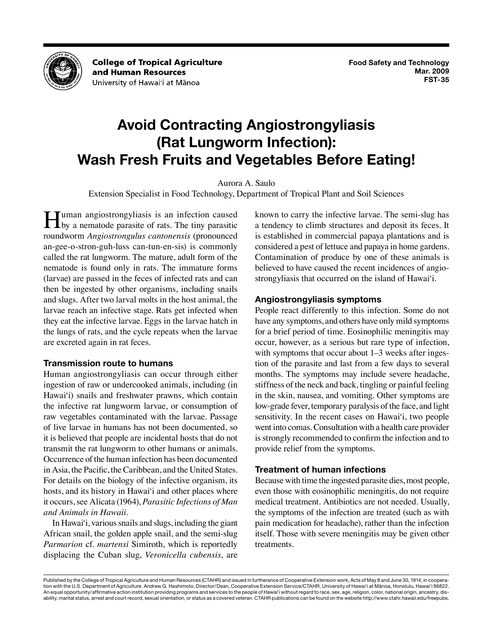

**College of Tropical Agriculture** and Human Resources University of Hawai'i at Mānoa

# **Avoid Contracting Angiostrongyliasis (Rat Lungworm Infection): Wash Fresh Fruits and Vegetables Before Eating!**

Aurora A. Saulo

Extension Specialist in Food Technology, Department of Tropical Plant and Soil Sciences

Human angiostrongyliasis is an infection caused by a nematode parasite of rats. The tiny parasitic roundworm *Angiostrongulus cantonensis* (pronounced an-gee-o-stron-guh-luss can-tun-en-sis) is commonly called the rat lungworm. The mature, adult form of the nematode is found only in rats. The immature forms (larvae) are passed in the feces of infected rats and can then be ingested by other organisms, including snails and slugs. After two larval molts in the host animal, the larvae reach an infective stage. Rats get infected when they eat the infective larvae. Eggs in the larvae hatch in the lungs of rats, and the cycle repeats when the larvae are excreted again in rat feces.

## **Transmission route to humans**

Human angiostrongyliasis can occur through either ingestion of raw or undercooked animals, including (in Hawai'i) snails and freshwater prawns, which contain the infective rat lungworm larvae, or consumption of raw vegetables contaminated with the larvae. Passage of live larvae in humans has not been documented, so it is believed that people are incidental hosts that do not transmit the rat lungworm to other humans or animals. Occurrence of the human infection has been documented in Asia, the Pacific, the Caribbean, and the United States. For details on the biology of the infective organism, its hosts, and its history in Hawai'i and other places where it occurs, see Alicata (1964), *[Parasitic Infections of Man](http://www.ctahr.hawaii.edu/oc/freepubs/pdf/B-61_extract.pdf) [and Animals in Hawaii](http://www.ctahr.hawaii.edu/oc/freepubs/pdf/B-61_extract.pdf)*.

In Hawai'i, various snails and slugs, including the giant African snail, the golden apple snail, and the semi-slug *Parmarion* cf. *martensi* Simiroth, which is reportedly displacing the Cuban slug, *Veronicella cubensis*, are known to carry the infective larvae. The semi-slug has a tendency to climb structures and deposit its feces. It is established in commercial papaya plantations and is considered a pest of lettuce and papaya in home gardens. Contamination of produce by one of these animals is believed to have caused the recent incidences of angiostrongyliasis that occurred on the island of Hawai'i.

## **Angiostrongyliasis symptoms**

People react differently to this infection. Some do not have any symptoms, and others have only mild symptoms for a brief period of time. Eosinophilic meningitis may occur, however, as a serious but rare type of infection, with symptoms that occur about 1–3 weeks after ingestion of the parasite and last from a few days to several months. The symptoms may include severe headache, stiffness of the neck and back, tingling or painful feeling in the skin, nausea, and vomiting. Other symptoms are low-grade fever, temporary paralysis of the face, and light sensitivity. In the recent cases on Hawai'i, two people went into comas. Consultation with a health care provider is strongly recommended to confirm the infection and to provide relief from the symptoms.

## **Treatment of human infections**

Because with time the ingested parasite dies, most people, even those with eosinophilic meningitis, do not require medical treatment. Antibiotics are not needed. Usually, the symptoms of the infection are treated (such as with pain medication for headache), rather than the infection itself. Those with severe meningitis may be given other treatments.

Published by the College of Tropical Agriculture and Human Resources (CTAHR) and issued in furtherance of Cooperative Extension work, Acts of May 8 and June 30, 1914, in cooperation with the U.S. Department of Agriculture. Andrew G. Hashimoto, Director/Dean, Cooperative Extension Service/CTAHR, University of Hawai'i at Mānoa, Honolulu, Hawai'i 96822. An equal opportunity/affirmative action institution providing programs and services to the people of Hawai'i without regard to race, sex, age, religion, color, national origin, ancestry, disability, marital status, arrest and court record, sexual orientation, or status as a covered veteran. CTAHR publications can be found on the website<http://www.ctahr.hawaii.edu/freepubs>.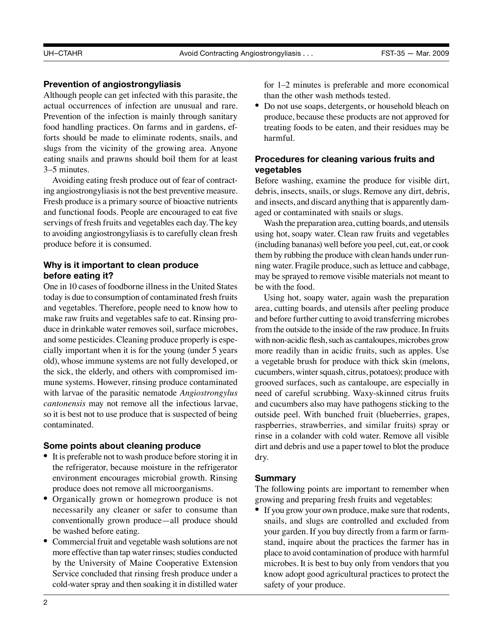## **Prevention of angiostrongyliasis**

Although people can get infected with this parasite, the actual occurrences of infection are unusual and rare. Prevention of the infection is mainly through sanitary food handling practices. On farms and in gardens, efforts should be made to eliminate rodents, snails, and slugs from the vicinity of the growing area. Anyone eating snails and prawns should boil them for at least 3–5 minutes.

Avoiding eating fresh produce out of fear of contracting angiostrongyliasis is not the best preventive measure. Fresh produce is a primary source of bioactive nutrients and functional foods. People are encouraged to eat five servings of fresh fruits and vegetables each day. The key to avoiding angiostrongyliasis is to carefully clean fresh produce before it is consumed.

## **Why is it important to clean produce before eating it?**

One in 10 cases of foodborne illness in the United States today is due to consumption of contaminated fresh fruits and vegetables. Therefore, people need to know how to make raw fruits and vegetables safe to eat. Rinsing produce in drinkable water removes soil, surface microbes, and some pesticides. Cleaning produce properly is especially important when it is for the young (under 5 years old), whose immune systems are not fully developed, or the sick, the elderly, and others with compromised immune systems. However, rinsing produce contaminated with larvae of the parasitic nematode *Angiostrongylus cantonensis* may not remove all the infectious larvae, so it is best not to use produce that is suspected of being contaminated.

## **Some points about cleaning produce**

- It is preferable not to wash produce before storing it in the refrigerator, because moisture in the refrigerator environment encourages microbial growth. Rinsing produce does not remove all microorganisms.
- Organically grown or homegrown produce is not necessarily any cleaner or safer to consume than conventionally grown produce—all produce should be washed before eating.
- Commercial fruit and vegetable wash solutions are not more effective than tap water rinses; studies conducted by the [University of Maine Cooperative Extension](http://www.umxt.maine.edu/onlinepubs/htmpubs/4336.htm) [Service](http://www.umxt.maine.edu/onlinepubs/htmpubs/4336.htm) concluded that rinsing fresh produce under a cold-water spray and then soaking it in distilled water

for 1–2 minutes is preferable and more economical than the other wash methods tested.

• Do not use soaps, detergents, or household bleach on produce, because these products are not approved for treating foods to be eaten, and their residues may be harmful.

## **Procedures for cleaning various fruits and vegetables**

Before washing, examine the produce for visible dirt, debris, insects, snails, or slugs. Remove any dirt, debris, and insects, and discard anything that is apparently damaged or contaminated with snails or slugs.

Wash the preparation area, cutting boards, and utensils using hot, soapy water. Clean raw fruits and vegetables (including bananas) well before you peel, cut, eat, or cook them by rubbing the produce with clean hands under running water. Fragile produce, such as lettuce and cabbage, may be sprayed to remove visible materials not meant to be with the food.

Using hot, soapy water, again wash the preparation area, cutting boards, and utensils after peeling produce and before further cutting to avoid transferring microbes from the outside to the inside of the raw produce. In fruits with non-acidic flesh, such as cantaloupes, microbes grow more readily than in acidic fruits, such as apples. Use a vegetable brush for produce with thick skin (melons, cucumbers, winter squash, citrus, potatoes); produce with grooved surfaces, such as cantaloupe, are especially in need of careful scrubbing. Waxy-skinned citrus fruits and cucumbers also may have pathogens sticking to the outside peel. With bunched fruit (blueberries, grapes, raspberries, strawberries, and similar fruits) spray or rinse in a colander with cold water. Remove all visible dirt and debris and use a paper towel to blot the produce dry.

## **Summary**

The following points are important to remember when growing and preparing fresh fruits and vegetables:

• If you grow your own produce, make sure that rodents, snails, and slugs are controlled and excluded from your garden. If you buy directly from a farm or farmstand, inquire about the practices the farmer has in place to avoid contamination of produce with harmful microbes. It is best to buy only from vendors that you know adopt good agricultural practices to protect the safety of your produce.